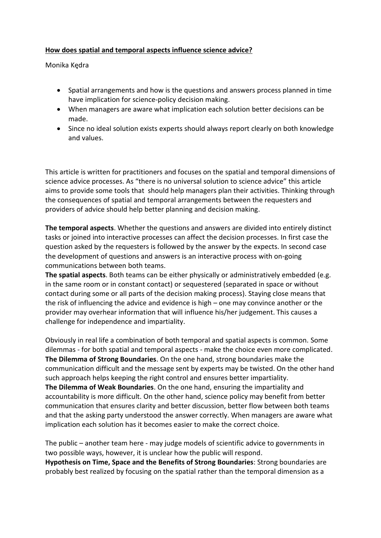## **How does spatial and temporal aspects influence science advice?**

Monika Kędra

- Spatial arrangements and how is the questions and answers process planned in time have implication for science-policy decision making.
- When managers are aware what implication each solution better decisions can be made.
- Since no ideal solution exists experts should always report clearly on both knowledge and values.

This article is written for practitioners and focuses on the spatial and temporal dimensions of science advice processes. As "there is no universal solution to science advice" this article aims to provide some tools that should help managers plan their activities. Thinking through the consequences of spatial and temporal arrangements between the requesters and providers of advice should help better planning and decision making.

**The temporal aspects**. Whether the questions and answers are divided into entirely distinct tasks or joined into interactive processes can affect the decision processes. In first case the question asked by the requesters is followed by the answer by the expects. In second case the development of questions and answers is an interactive process with on-going communications between both teams.

**The spatial aspects**. Both teams can be either physically or administratively embedded (e.g. in the same room or in constant contact) or sequestered (separated in space or without contact during some or all parts of the decision making process). Staying close means that the risk of influencing the advice and evidence is high – one may convince another or the provider may overhear information that will influence his/her judgement. This causes a challenge for independence and impartiality.

Obviously in real life a combination of both temporal and spatial aspects is common. Some dilemmas - for both spatial and temporal aspects - make the choice even more complicated. **The Dilemma of Strong Boundaries**. On the one hand, strong boundaries make the communication difficult and the message sent by experts may be twisted. On the other hand such approach helps keeping the right control and ensures better impartiality. **The Dilemma of Weak Boundaries**. On the one hand, ensuring the impartiality and accountability is more difficult. On the other hand, science policy may benefit from better communication that ensures clarity and better discussion, better flow between both teams and that the asking party understood the answer correctly. When managers are aware what implication each solution has it becomes easier to make the correct choice.

The public – another team here - may judge models of scientific advice to governments in two possible ways, however, it is unclear how the public will respond. **Hypothesis on Time, Space and the Benefits of Strong Boundaries**: Strong boundaries are probably best realized by focusing on the spatial rather than the temporal dimension as a